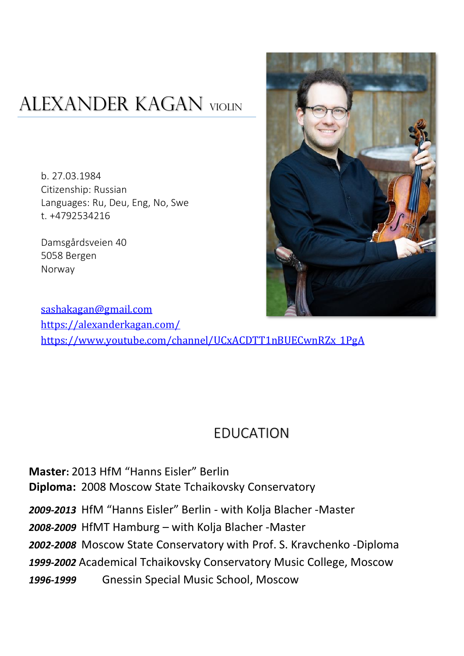# ALEXANDER KAGAN VIOLIN

b. 27.03.1984 Citizenship: Russian Languages: Ru, Deu, Eng, No, Swe t. +4792534216

Damsgårdsveien 40 5058 Bergen Norway



[sashakagan@gmail.com](mailto:sashakagan@gmail.com) <https://alexanderkagan.com/> [https://www.youtube.com/channel/UCxACDTT1nBUECwnRZx\\_1PgA](https://www.youtube.com/channel/UCxACDTT1nBUECwnRZx_1PgA)

#### EDUCATION

**Master:** 2013 HfM "Hanns Eisler" Berlin **Diploma:** 2008 Moscow State Tchaikovsky Conservatory *2009-2013* HfM "Hanns Eisler" Berlin - with Kolja Blacher -Master *2008-2009* HfMT Hamburg – with Kolja Blacher -Master *2002-2008* Moscow State Conservatory with Prof. S. Kravchenko -Diploma *1999-2002* Academical Tchaikovsky Conservatory Music College, Moscow *1996-1999* Gnessin Special Music School, Moscow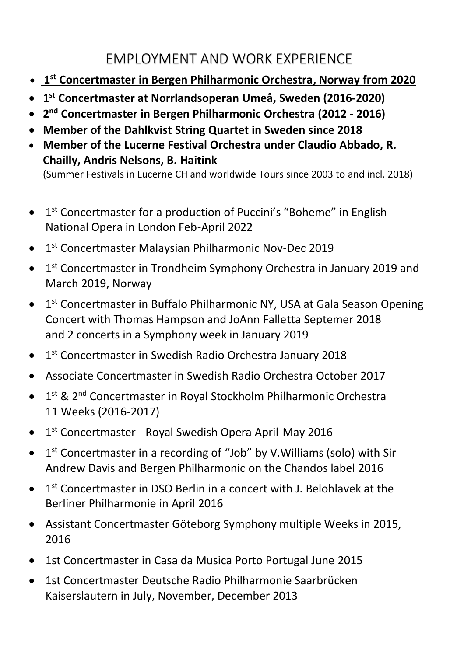#### EMPLOYMENT AND WORK EXPERIENCE

- **1 st Concertmaster in Bergen Philharmonic Orchestra, Norway from 2020**
- **1 st Concertmaster at Norrlandsoperan Umeå, Sweden (2016-2020)**
- **2 nd Concertmaster in Bergen Philharmonic Orchestra (2012 - 2016)**
- **Member of the Dahlkvist String Quartet in Sweden since 2018**
- **Member of the Lucerne Festival Orchestra under Claudio Abbado, R. Chailly, Andris Nelsons, B. Haitink**

(Summer Festivals in Lucerne CH and worldwide Tours since 2003 to and incl. 2018)

- 1<sup>st</sup> Concertmaster for a production of Puccini's "Boheme" in English National Opera in London Feb-April 2022
- 1<sup>st</sup> Concertmaster Malaysian Philharmonic Nov-Dec 2019
- 1<sup>st</sup> Concertmaster in Trondheim Symphony Orchestra in January 2019 and March 2019, Norway
- 1<sup>st</sup> Concertmaster in Buffalo Philharmonic NY, USA at Gala Season Opening Concert with Thomas Hampson and JoAnn Falletta Septemer 2018 and 2 concerts in a Symphony week in January 2019
- 1<sup>st</sup> Concertmaster in Swedish Radio Orchestra January 2018
- Associate Concertmaster in Swedish Radio Orchestra October 2017
- 1<sup>st</sup> & 2<sup>nd</sup> Concertmaster in Royal Stockholm Philharmonic Orchestra 11 Weeks (2016-2017)
- 1<sup>st</sup> Concertmaster Royal Swedish Opera April-May 2016
- $\bullet$  1<sup>st</sup> Concertmaster in a recording of "Job" by V. Williams (solo) with Sir Andrew Davis and Bergen Philharmonic on the Chandos label 2016
- $\bullet$  1<sup>st</sup> Concertmaster in DSO Berlin in a concert with J. Belohlavek at the Berliner Philharmonie in April 2016
- Assistant Concertmaster Göteborg Symphony multiple Weeks in 2015, 2016
- 1st Concertmaster in Casa da Musica Porto Portugal June 2015
- 1st Concertmaster Deutsche Radio Philharmonie Saarbrücken Kaiserslautern in July, November, December 2013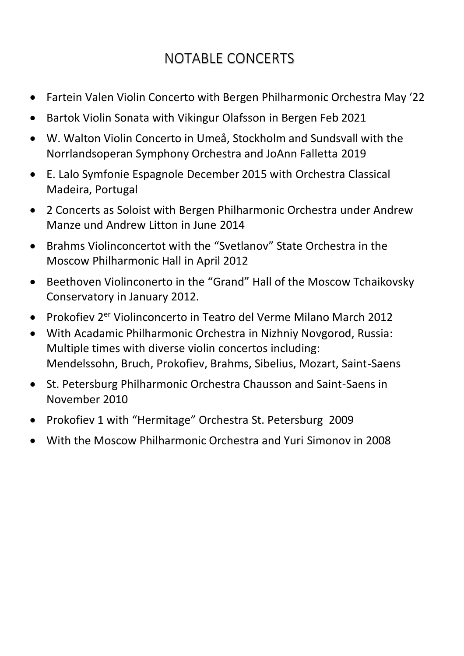## NOTABLE CONCERTS

- Fartein Valen Violin Concerto with Bergen Philharmonic Orchestra May '22
- Bartok Violin Sonata with Vikingur Olafsson in Bergen Feb 2021
- W. Walton Violin Concerto in Umeå, Stockholm and Sundsvall with the Norrlandsoperan Symphony Orchestra and JoAnn Falletta 2019
- E. Lalo Symfonie Espagnole December 2015 with Orchestra Classical Madeira, Portugal
- 2 Concerts as Soloist with Bergen Philharmonic Orchestra under Andrew Manze und Andrew Litton in June 2014
- Brahms Violinconcertot with the "Svetlanov" State Orchestra in the Moscow Philharmonic Hall in April 2012
- Beethoven Violinconerto in the "Grand" Hall of the Moscow Tchaikovsky Conservatory in January 2012.
- Prokofiev 2<sup>er</sup> Violinconcerto in Teatro del Verme Milano March 2012
- With Acadamic Philharmonic Orchestra in Nizhniy Novgorod, Russia: Multiple times with diverse violin concertos including: Mendelssohn, Bruch, Prokofiev, Brahms, Sibelius, Mozart, Saint-Saens
- St. Petersburg Philharmonic Orchestra Chausson and Saint-Saens in November 2010
- Prokofiev 1 with "Hermitage" Orchestra St. Petersburg 2009
- With the Moscow Philharmonic Orchestra and Yuri Simonov in 2008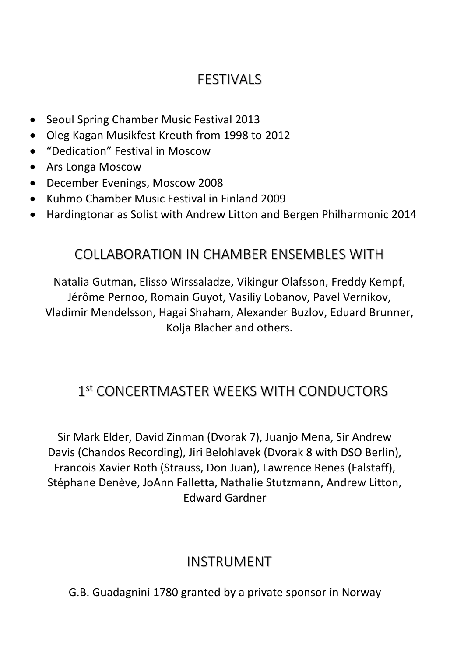#### **FESTIVALS**

- Seoul Spring Chamber Music Festival 2013
- Oleg Kagan Musikfest Kreuth from 1998 to 2012
- "Dedication" Festival in Moscow
- Ars Longa Moscow
- December Evenings, Moscow 2008
- Kuhmo Chamber Music Festival in Finland 2009
- Hardingtonar as Solist with Andrew Litton and Bergen Philharmonic 2014

#### COLLABORATION IN CHAMBER ENSEMBLES WITH

Natalia Gutman, Elisso Wirssaladze, Vikingur Olafsson, Freddy Kempf, Jérôme Pernoo, Romain Guyot, Vasiliy Lobanov, Pavel Vernikov, Vladimir Mendelsson, Hagai Shaham, Alexander Buzlov, Eduard Brunner, Kolja Blacher and others.

### 1 st CONCERTMASTER WEEKS WITH CONDUCTORS

Sir Mark Elder, David Zinman (Dvorak 7), Juanjo Mena, Sir Andrew Davis (Chandos Recording), Jiri Belohlavek (Dvorak 8 with DSO Berlin), Francois Xavier Roth (Strauss, Don Juan), Lawrence Renes (Falstaff), Stéphane Denève, JoAnn Falletta, Nathalie Stutzmann, Andrew Litton, Edward Gardner

#### INSTRUMENT

G.B. Guadagnini 1780 granted by a private sponsor in Norway